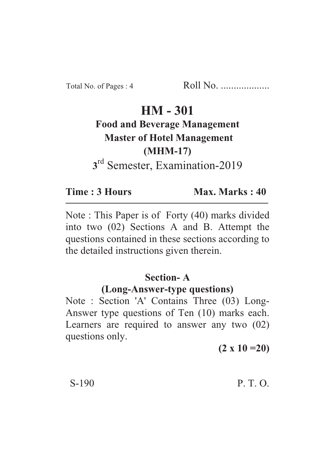# **HM - 301**

# **Food and Beverage Management Master of Hotel Management (MHM-17) 3** rd Semester, Examination-2019

**Time : 3 Hours Max. Marks : 40** 

Note : This Paper is of Forty (40) marks divided into two (02) Sections A and B. Attempt the questions contained in these sections according to the detailed instructions given therein.

## **Section- A**

## **(Long-Answer-type questions)**

Note : Section 'A' Contains Three (03) Long-Answer type questions of Ten (10) marks each. Learners are required to answer any two (02) questions only.

**(2 x 10 =20)**

## $S-190$  P. T. O.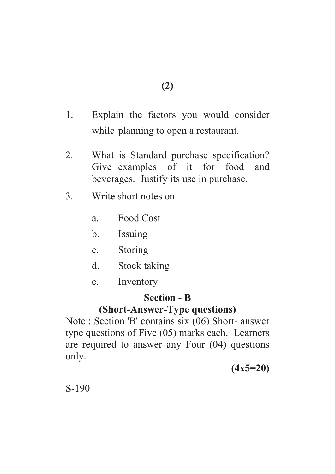- 1. Explain the factors you would consider while planning to open a restaurant.
- 2. What is Standard purchase specification? Give examples of it for food and beverages. Justify its use in purchase.
- 3. Write short notes on
	- a. Food Cost
	- b. Issuing
	- c. Storing
	- d. Stock taking
	- e. Inventory

#### **Section - B**

#### **(Short-Answer-Type questions)**

Note : Section 'B' contains six (06) Short- answer type questions of Five (05) marks each. Learners are required to answer any Four (04) questions only.

**(4x5=20)**

S-190